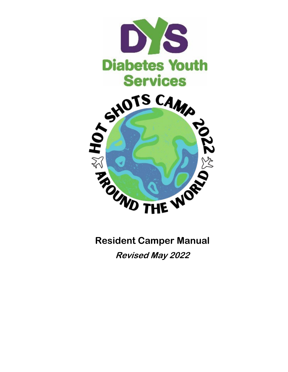

**Resident Camper Manual Revised May 2022**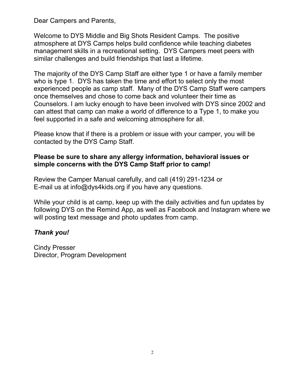Dear Campers and Parents,

Welcome to DYS Middle and Big Shots Resident Camps. The positive atmosphere at DYS Camps helps build confidence while teaching diabetes management skills in a recreational setting. DYS Campers meet peers with similar challenges and build friendships that last a lifetime.

The majority of the DYS Camp Staff are either type 1 or have a family member who is type 1. DYS has taken the time and effort to select only the most experienced people as camp staff. Many of the DYS Camp Staff were campers once themselves and chose to come back and volunteer their time as Counselors. I am lucky enough to have been involved with DYS since 2002 and can attest that camp can make a world of difference to a Type 1, to make you feel supported in a safe and welcoming atmosphere for all.

Please know that if there is a problem or issue with your camper, you will be contacted by the DYS Camp Staff.

## **Please be sure to share any allergy information, behavioral issues or simple concerns with the DYS Camp Staff prior to camp!**

Review the Camper Manual carefully, and call (419) 291-1234 or E-mail us at info@dys4kids.org if you have any questions.

While your child is at camp, keep up with the daily activities and fun updates by following DYS on the Remind App, as well as Facebook and Instagram where we will posting text message and photo updates from camp.

## *Thank you!*

Cindy Presser Director, Program Development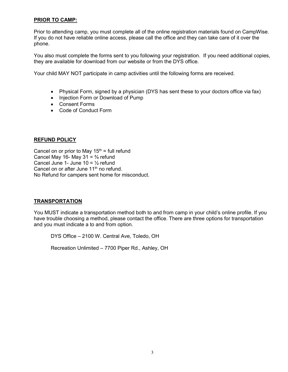#### **PRIOR TO CAMP:**

Prior to attending camp, you must complete all of the online registration materials found on CampWise. If you do not have reliable online access, please call the office and they can take care of it over the phone.

You also must complete the forms sent to you following your registration. If you need additional copies, they are available for download from our website or from the DYS office.

Your child MAY NOT participate in camp activities until the following forms are received.

- Physical Form, signed by a physician (DYS has sent these to your doctors office via fax)
- Injection Form or Download of Pump
- Consent Forms
- Code of Conduct Form

#### **REFUND POLICY**

Cancel on or prior to May  $15<sup>th</sup>$  = full refund Cancel May 16- May 31 =  $\frac{3}{4}$  refund Cancel June 1- June 10 =  $\frac{1}{2}$  refund Cancel on or after June 11<sup>th</sup> no refund. No Refund for campers sent home for misconduct.

#### **TRANSPORTATION**

You MUST indicate a transportation method both to and from camp in your child's online profile. If you have trouble choosing a method, please contact the office. There are three options for transportation and you must indicate a to and from option.

DYS Office – 2100 W. Central Ave, Toledo, OH

Recreation Unlimited – 7700 Piper Rd., Ashley, OH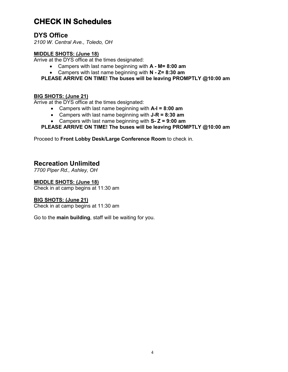# **CHECK IN Schedules**

## **DYS Office**

*2100 W. Central Ave., Toledo, OH*

### **MIDDLE SHOTS: (June 18)**

Arrive at the DYS office at the times designated:

- Campers with last name beginning with **A - M= 8:00 am**
- Campers with last name beginning with **N - Z= 8:30 am**
- **PLEASE ARRIVE ON TIME! The buses will be leaving PROMPTLY @10:00 am**

### **BIG SHOTS: (June 21)**

Arrive at the DYS office at the times designated:

- Campers with last name beginning with **A-I = 8:00 am**
- Campers with last name beginning with **J-R = 8:30 am**
- Campers with last name beginning with **S- Z = 9:00 am**

### **PLEASE ARRIVE ON TIME! The buses will be leaving PROMPTLY @10:00 am**

Proceed to **Front Lobby Desk/Large Conference Room** to check in.

## **Recreation Unlimited**

*7700 Piper Rd., Ashley, OH*

#### **MIDDLE SHOTS: (June 18)**

Check in at camp begins at 11:30 am

### **BIG SHOTS: (June 21)**

Check in at camp begins at 11:30 am

Go to the **main building**, staff will be waiting for you.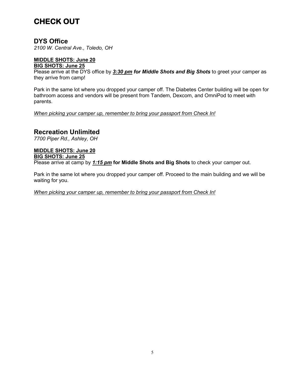# **CHECK OUT**

## **DYS Office**

*2100 W. Central Ave., Toledo, OH*

#### **MIDDLE SHOTS: June 20 BIG SHOTS: June 25**

Please arrive at the DYS office by *3:30 pm for Middle Shots and Big Shots* to greet your camper as they arrive from camp!

Park in the same lot where you dropped your camper off. The Diabetes Center building will be open for bathroom access and vendors will be present from Tandem, Dexcom, and OmniPod to meet with parents.

*When picking your camper up, remember to bring your passport from Check In!*

### **Recreation Unlimited**

*7700 Piper Rd., Ashley, OH*

## **MIDDLE SHOTS: June 20**

#### **BIG SHOTS: June 25**

Please arrive at camp by *1:15 pm* **for Middle Shots and Big Shots** to check your camper out.

Park in the same lot where you dropped your camper off. Proceed to the main building and we will be waiting for you.

*When picking your camper up, remember to bring your passport from Check In!*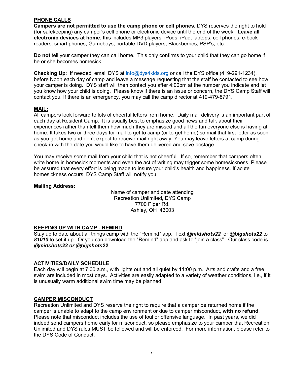#### **PHONE CALLS**

**Campers are not permitted to use the camp phone or cell phones.** DYS reserves the right to hold (for safekeeping) any camper's cell phone or electronic device until the end of the week. **Leave all electronic devices at home**, this includes MP3 players, iPods, iPad, laptops, cell phones, e-book readers, smart phones, Gameboys, portable DVD players, Blackberries, PSP's, etc…

**Do not** tell your camper they can call home. This only confirms to your child that they can go home if he or she becomes homesick.

**Checking Up**: If needed, email DYS at [info@dys4kids.org](mailto:info@dys4kids.org) or call the DYS office (419-291-1234), before Noon each day of camp and leave a message requesting that the staff be contacted to see how your camper is doing. DYS staff will then contact you after 4:00pm at the number you indicate and let you know how your child is doing. Please know if there is an issue or concern, the DYS Camp Staff will contact you. If there is an emergency, you may call the camp director at 419-479-8791.

#### **MAIL:**

All campers look forward to lots of cheerful letters from home. Daily mail delivery is an important part of each day at Resident Camp. It is usually best to emphasize good news and talk about their experiences rather than tell them how much they are missed and all the fun everyone else is having at home. It takes two or three days for mail to get to camp (or to get home) so mail that first letter as soon as you get home and don't expect to receive mail right away. You may leave letters at camp during check-in with the date you would like to have them delivered and save postage.

You may receive some mail from your child that is not cheerful. If so, remember that campers often write home in homesick moments and even the act of writing may trigger some homesickness. Please be assured that every effort is being made to insure your child's health and happiness. If acute homesickness occurs, DYS Camp Staff will notify you.

#### **Mailing Address:**

Name of camper and date attending Recreation Unlimited, DYS Camp 7700 Piper Rd. Ashley, OH 43003

#### **KEEPING UP WITH CAMP - REMIND**

Stay up to date about all things camp with the "Remind" app. Text *@midshots22* or *@bigshots22* to *81010* to set it up. Or you can download the "Remind" app and ask to "join a class". Our class code is *@midshots22 or @bigshots22*

#### **ACTIVITIES/DAILY SCHEDULE**

Each day will begin at 7:00 a.m., with lights out and all quiet by 11:00 p.m. Arts and crafts and a free swim are included in most days. Activities are easily adapted to a variety of weather conditions, i.e., if it is unusually warm additional swim time may be planned.

#### **CAMPER MISCONDUCT**

Recreation Unlimited and DYS reserve the right to require that a camper be returned home if the camper is unable to adapt to the camp environment or due to camper misconduct, **with no refund**. Please note that misconduct includes the use of foul or offensive language. In past years, we did indeed send campers home early for misconduct, so please emphasize to your camper that Recreation Unlimited and DYS rules MUST be followed and will be enforced. For more information, please refer to the DYS Code of Conduct.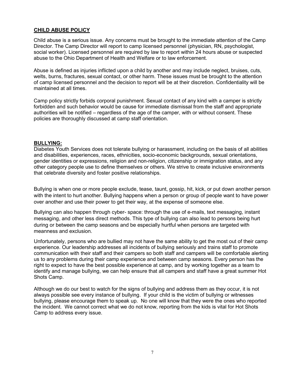#### **CHILD ABUSE POLICY**

Child abuse is a serious issue. Any concerns must be brought to the immediate attention of the Camp Director. The Camp Director will report to camp licensed personnel (physician, RN, psychologist, social worker). Licensed personnel are required by law to report within 24 hours abuse or suspected abuse to the Ohio Department of Health and Welfare or to law enforcement.

Abuse is defined as injuries inflicted upon a child by another and may include neglect, bruises, cuts, welts, burns, fractures, sexual contact, or other harm. These issues must be brought to the attention of camp licensed personnel and the decision to report will be at their discretion. Confidentiality will be maintained at all times.

Camp policy strictly forbids corporal punishment. Sexual contact of any kind with a camper is strictly forbidden and such behavior would be cause for immediate dismissal from the staff and appropriate authorities will be notified – regardless of the age of the camper, with or without consent. These policies are thoroughly discussed at camp staff orientation.

#### **BULLYING:**

Diabetes Youth Services does not tolerate bullying or harassment, including on the basis of all abilities and disabilities, experiences, races, ethnicities, socio-economic backgrounds, sexual orientations, gender identities or expressions, religion and non-religion, citizenship or immigration status, and any other category people use to define themselves or others. We strive to create inclusive environments that celebrate diversity and foster positive relationships.

Bullying is when one or more people exclude, tease, taunt, gossip, hit, kick, or put down another person with the intent to hurt another. Bullying happens when a person or group of people want to have power over another and use their power to get their way, at the expense of someone else.

Bullying can also happen through cyber- space: through the use of e-mails, text messaging, instant messaging, and other less direct methods. This type of bullying can also lead to persons being hurt during or between the camp seasons and be especially hurtful when persons are targeted with meanness and exclusion.

Unfortunately, persons who are bullied may not have the same ability to get the most out of their camp experience. Our leadership addresses all incidents of bullying seriously and trains staff to promote communication with their staff and their campers so both staff and campers will be comfortable alerting us to any problems during their camp experience and between camp seasons. Every person has the right to expect to have the best possible experience at camp, and by working together as a team to identify and manage bullying, we can help ensure that all campers and staff have a great summer Hot Shots Camp.

Although we do our best to watch for the signs of bullying and address them as they occur, it is not always possible see every instance of bullying. If your child is the victim of bullying or witnesses bullying, please encourage them to speak up. No one will know that they were the ones who reported the incident. We cannot correct what we do not know, reporting from the kids is vital for Hot Shots Camp to address every issue.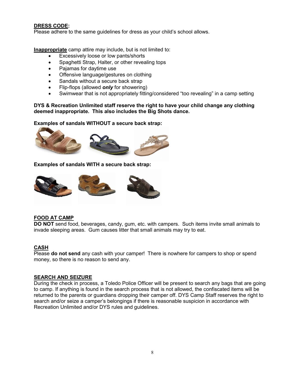#### **DRESS CODE:**

Please adhere to the same guidelines for dress as your child's school allows.

**Inappropriate** camp attire may include, but is not limited to:

- Excessively loose or low pants/shorts
- Spaghetti Strap, Halter, or other revealing tops
- Pajamas for daytime use
- Offensive language/gestures on clothing
- Sandals without a secure back strap
- Flip-flops (allowed *only* for showering)
- Swimwear that is not appropriately fitting/considered "too revealing" in a camp setting

**DYS & Recreation Unlimited staff reserve the right to have your child change any clothing deemed inappropriate. This also includes the Big Shots dance.**

**Examples of sandals WITHOUT a secure back strap:**



**Examples of sandals WITH a secure back strap:**



#### **FOOD AT CAMP**

**DO NOT** send food, beverages, candy, gum, etc. with campers. Such items invite small animals to invade sleeping areas. Gum causes litter that small animals may try to eat.

#### **CASH**

Please **do not send** any cash with your camper! There is nowhere for campers to shop or spend money, so there is no reason to send any.

#### **SEARCH AND SEIZURE**

During the check in process, a Toledo Police Officer will be present to search any bags that are going to camp. If anything is found in the search process that is not allowed, the confiscated items will be returned to the parents or guardians dropping their camper off. DYS Camp Staff reserves the right to search and/or seize a camper's belongings if there is reasonable suspicion in accordance with Recreation Unlimited and/or DYS rules and guidelines.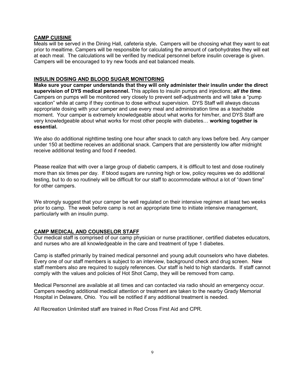#### **CAMP CUISINE**

Meals will be served in the Dining Hall, cafeteria style**.** Campers will be choosing what they want to eat prior to mealtime. Campers will be responsible for calculating the amount of carbohydrates they will eat at each meal. The calculations will be verified by medical personnel before insulin coverage is given. Campers will be encouraged to try new foods and eat balanced meals.

#### **INSULIN DOSING AND BLOOD SUGAR MONITORING**

**Make sure your camper understands that they will only administer their insulin under the direct supervision of DYS medical personnel.** This applies to insulin pumps and injections; *all the time*. Campers on pumps will be monitored very closely to prevent self-adjustments and will take a "pump vacation" while at camp if they continue to dose without supervision. DYS Staff will always discuss appropriate dosing with your camper and use every meal and administration time as a teachable moment. Your camper is extremely knowledgeable about what works for him/her, and DYS Staff are very knowledgeable about what works for most other people with diabetes… **working together is essential.**

We also do additional nighttime testing one hour after snack to catch any lows before bed. Any camper under 150 at bedtime receives an additional snack. Campers that are persistently low after midnight receive additional testing and food if needed.

Please realize that with over a large group of diabetic campers, it is difficult to test and dose routinely more than six times per day. If blood sugars are running high or low, policy requires we do additional testing, but to do so routinely will be difficult for our staff to accommodate without a lot of "down time" for other campers.

We strongly suggest that your camper be well regulated on their intensive regimen at least two weeks prior to camp. The week before camp is not an appropriate time to initiate intensive management, particularly with an insulin pump.

#### **CAMP MEDICAL AND COUNSELOR STAFF**

Our medical staff is comprised of our camp physician or nurse practitioner, certified diabetes educators, and nurses who are all knowledgeable in the care and treatment of type 1 diabetes.

Camp is staffed primarily by trained medical personnel and young adult counselors who have diabetes. Every one of our staff members is subject to an interview, background check and drug screen. New staff members also are required to supply references. Our staff is held to high standards. If staff cannot comply with the values and policies of Hot Shot Camp, they will be removed from camp.

Medical Personnel are available at all times and can contacted via radio should an emergency occur. Campers needing additional medical attention or treatment are taken to the nearby Grady Memorial Hospital in Delaware, Ohio. You will be notified if any additional treatment is needed.

All Recreation Unlimited staff are trained in Red Cross First Aid and CPR.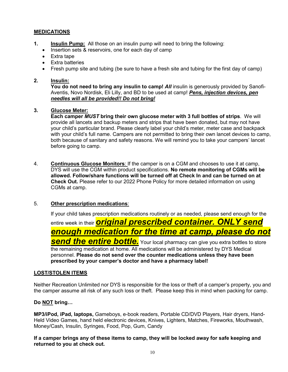#### **MEDICATIONS**

- **1. Insulin Pump:** All those on an insulin pump will need to bring the following:
	- Insertion sets & reservoirs, one for each day of camp
	- Extra tape
	- Extra batteries
	- Fresh pump site and tubing (be sure to have a fresh site and tubing for the first day of camp)

#### **2. Insulin:**

**You do not need to bring any insulin to camp!** *All* insulin is generously provided by Sanofi-Aventis, Novo Nordisk, Eli Lilly, and BD to be used at camp! *Pens, injection devices, pen needles will all be provided!! Do not bring!*

#### **3. Glucose Meter:**

**Each camper** *MUST* **bring their own glucose meter with 3 full bottles of strips**. We will provide all lancets and backup meters and strips that have been donated, but may not have your child's particular brand. Please clearly label your child's meter, meter case and backpack with your child's full name. Campers are not permitted to bring their own lancet devices to camp, both because of sanitary and safety reasons. We will remind you to take your campers' lancet before going to camp.

4. **Continuous Glucose Monitors**: If the camper is on a CGM and chooses to use it at camp, DYS will use the CGM within product specifications. **No remote monitoring of CGMs will be allowed. Follow/share functions will be turned off at Check In and can be turned on at Check Out.** Please refer to our 2022 Phone Policy for more detailed information on using CGMs at camp.

#### 5. **Other prescription medications**:

If your child takes prescription medications routinely or as needed, please send enough for the entire week in their *original prescribed container. ONLY send enough medication for the time at camp, please do not*  **send the entire bottle.** Your local pharmacy can give you extra bottles to store the remaining medication at home. All medications will be administered by DYS Medical personnel. **Please do not send over the counter medications unless they have been prescribed by your camper's doctor and have a pharmacy label!**

#### **LOST/STOLEN ITEMS**

Neither Recreation Unlimited nor DYS is responsible for the loss or theft of a camper's property, you and the camper assume all risk of any such loss or theft. Please keep this in mind when packing for camp.

#### **Do NOT bring…**

**MP3/iPod, iPad, laptops,** Gameboys, e-book readers, Portable CD/DVD Players, Hair dryers, Hand-Held Video Games, hand held electronic devices, Knives, Lighters, Matches, Fireworks, Mouthwash, Money/Cash, Insulin, Syringes, Food, Pop, Gum, Candy

**If a camper brings any of these items to camp, they will be locked away for safe keeping and returned to you at check out.**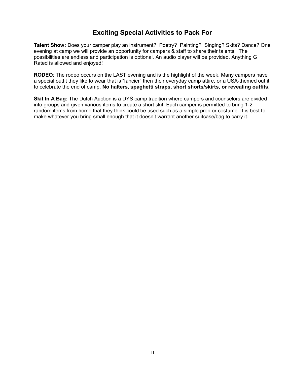## **Exciting Special Activities to Pack For**

**Talent Show:** Does your camper play an instrument? Poetry? Painting? Singing? Skits? Dance? One evening at camp we will provide an opportunity for campers & staff to share their talents. The possibilities are endless and participation is optional. An audio player will be provided. Anything G Rated is allowed and enjoyed!

**RODEO**: The rodeo occurs on the LAST evening and is the highlight of the week. Many campers have a special outfit they like to wear that is "fancier" then their everyday camp attire, or a USA-themed outfit to celebrate the end of camp. **No halters, spaghetti straps, short shorts/skirts, or revealing outfits.**

**Skit In A Bag:** The Dutch Auction is a DYS camp tradition where campers and counselors are divided into groups and given various items to create a short skit. Each camper is permitted to bring 1-2 random items from home that they think could be used such as a simple prop or costume. It is best to make whatever you bring small enough that it doesn't warrant another suitcase/bag to carry it.